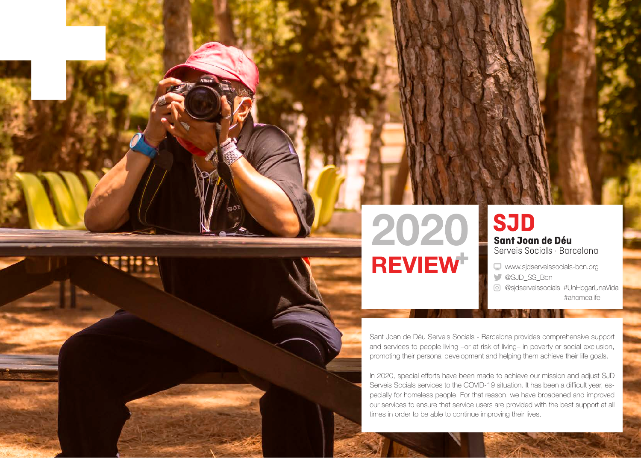

**SJD** Sant Joan de Déu Serveis Socials · Barcelona

www.sjdserveissocials-bcn.org @SJD\_SS\_Bcn @sjdserveissocials #UnHogarUnaVida #ahomealife

Sant Joan de Déu Serveis Socials - Barcelona provides comprehensive support and services to people living –or at risk of living– in poverty or social exclusion, promoting their personal development and helping them achieve their life goals.

In 2020, special efforts have been made to achieve our mission and adjust SJD Serveis Socials services to the COVID-19 situation. It has been a difficult year, especially for homeless people. For that reason, we have broadened and improved our services to ensure that service users are provided with the best support at all times in order to be able to continue improving their lives.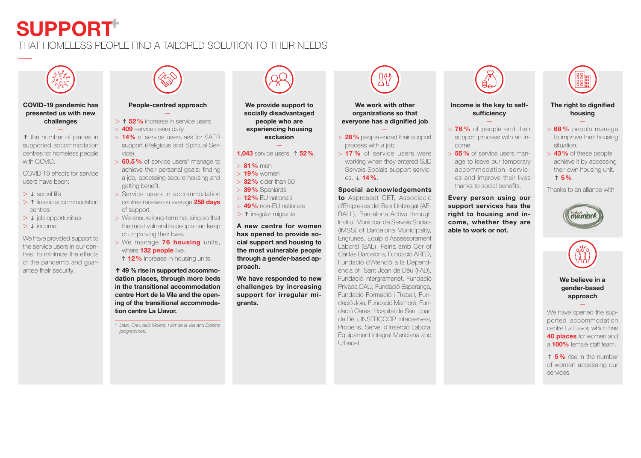# **SUPPORT**

### THAT HOMELESS PEOPLE FIND A TAILORED SOLUTION TO THEIR NEEDS



### **COVID-19 pandemic has presented us with new challenges**

↑ the number of places in supported accommodation centres for homeless people with COVID.

—

COVID 19 effects for service users have been:

- > ↓ social life
- > ↑ time in accommodation centres
- > ↓ job opportunities
- > ↓ income

We have provided support to the service users in our centres, to minimize the effects of the pandemic and guarantee their security.



### **People-centred approach** —

> ↑ **52%** increase in service users > **409** service users daily.

- > **14%** of service users ask for SAER support (Religious and Spiritual Service).
- > **60.5%** of service users\* manage to achieve their personal goals: finding a job, accessing secure housing and getting benefit.
- > Service users in accommodation centres receive on average **258 days** of support.
- > We ensure long-term housing so that the most vulnerable people can keep on improving their lives.
- > We manage **76 housing** units, where **132 people** live.
- ↑ 12% increase in housing units.

**↑ 49 % rise in supported accommodation places, through more beds in the transitional accommodation centre Hort de la Vila and the opening of the transitional accommodation centre La Llavor.**

*\* Llars, Creu dels Molers, Hort de la Vila and Externs programmes.*



**We provide support to socially disadvantaged people who are experiencing housing exclusion** 

### — **1,043** service users ↑ **52%**.

- > **81%** men
- > **19%** women
- > **32%** older than 50
- > **39%** Spaniards
- > **12%** EU nationals
- > **49%** non-EU nationals
- > ↑ irregular migrants

**A new centre for women has opened to provide social support and housing to the most vulnerable people through a gender-based approach.**

**We have responded to new challenges by increasing support for irregular migrants.**

**We work with other organizations so that everyone has a dignified job**

- > **28%** people ended their support process with a job.
- > **17 %** of service users were working when they entered SJD Serveis Socials support services. ↓ **14%**.

### **Special acknowledgements**

**to** Asproseat CET, Associació d'Empreses del Baix Llobregat (AE-BALL), Barcelona Activa through Institut Municipal de Serveis Socials (IMSS) of Barcelona Municipality, Engrunes, Equip d'Assessorament Laboral (EAL), Feina amb Cor of Càritas Barcelona, Fundació ARED, Fundació d'Atenció a la Dependència of Sant Joan de Déu (FAD), Fundació Intergramenet, Fundació Privada DAU, Fundació Esperança, Fundació Formació i Treball, Fundació Joia, Fundació Mambré, Fundació Cares, Hospital de Sant Joan de Déu, INSERCOOP, Intecserveis, Probens, Servei d'Inserció Laboral Equipament Integral Meridiana and Urbacet.



### **Income is the key to selfsufficiency**

- > **76 %** of people end their support process with an in-
- come. > **55%** of service users manage to leave our temporary accommodation services and improve their lives thanks to social benefits.

**Every person using our support services has the right to housing and income, whether they are able to work or not.**



### **The right to dignified housing**

- > **68 %** people manage to improve their housing situation.
- > **43%** of these people achieve it by accessing their own housing unit. ↑ **5%**.

Thanks to an alliance with





### **We believe in a gender-based approach** —

We have opened the supported accommodation centre La Llavor, which has **40 places** for women and a **100%** female staff team.

↑ **5%** rise in the number of women accessing our services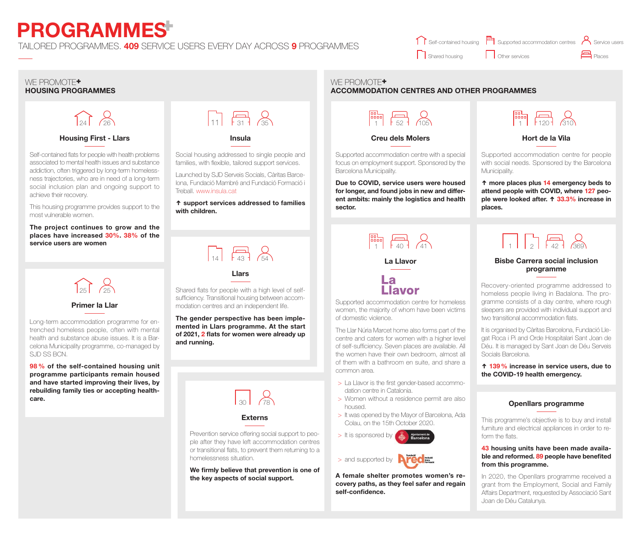# **PROGRAMMES**

### TAILORED PROGRAMMES. **409** SERVICE USERS EVERY DAY ACROSS **9** PROGRAMMES

### Self-contained housing [111] Supported accommodation centres **notify Service users** Shared housing Places Other services

### WE PROMOTE<sup>+</sup> **HOUSING PROGRAMMES**

# $\sum_{24}$

### **Housing First - Llars**

Self-contained flats for people with health problems associated to mental health issues and substance addiction, often triggered by long-term homelessness trajectories, who are in need of a long-term social inclusion plan and ongoing support to achieve their recovery.

This housing programme provides support to the most vulnerable women.

**The project continues to grow and the places have increased 30%. 38% of the service users are women**



### **Primer la Llar**

Long-term accommodation programme for entrenched homeless people, often with mental health and substance abuse issues. It is a Barcelona Municipality programme, co-managed by SJD SS BCN.

**98 % of the self-contained housing unit programme participants remain housed and have started improving their lives, by rebuilding family ties or accepting healthcare.**



### **Insula**

Social housing addressed to single people and families, with flexible, tailored support services.

Launched by SJD Serveis Socials, Càritas Barcelona, Fundació Mambré and Fundació Formació i Treball. www.insula.cat

**↑ support services addressed to families with children.**



**Llars**

Shared flats for people with a high level of selfsufficiency. Transitional housing between accommodation centres and an independent life.

**The gender perspective has been implemented in Llars programme. At the start of 2021, 2 flats for women were already up and running.**

### **Externs**

Prevention service offering social support to people after they have left accommodation centres or transitional flats, to prevent them returning to a homelessness situation.

**We firmly believe that prevention is one of the key aspects of social support.**

## **ACCOMMODATION CENTRES AND OTHER PROGRAMMES**  $\begin{array}{ccc}\n\hline\n\text{B} & \text{D} \\
\hline\n\text{1} & \text{1} & \text{1} \\
\end{array}\n\quad\n\begin{array}{ccc}\n\hline\n\end{array}\n\quad\n\begin{array}{ccc}\n\hline\n\end{array}\n\quad\n\begin{array}{ccc}\n\hline\n\end{array}\n\quad\n\begin{array}{ccc}\n\hline\n\end{array}\n\quad\n\begin{array}{ccc}\n\hline\n\end{array}\n\quad\n\begin{array}{ccc}\n\hline\n\end{array}\n\quad\n\begin{array}{ccc}\n\hline\n\end{array}\n\quad\n\begin{array}{ccc}\n\hline\n\end{array}\n$

WE PROMOTE<sup>+</sup>

**Creu dels Molers**

Supported accommodation centre with a special focus on employment support. Sponsored by the Barcelona Municipality.

**Due to COVID, service users were housed for longer, and found jobs in new and different ambits: mainly the logistics and health sector.** 



### **Hort de la Vila**

Supported accommodation centre for people with social needs. Sponsored by the Barcelona Municipality.

**↑ more places plus 14 emergency beds to attend people with COVID, where 127 people were looked after. ↑ 33.3% increase in places.**

# $\Box$

### **Bisbe Carrera social inclusion programme**

Recovery-oriented programme addressed to homeless people living in Badalona. The programme consists of a day centre, where rough sleepers are provided with individual support and two transitional accommodation flats.

It is organised by Càritas Barcelona, Fundació Llegat Roca i Pi and Orde Hospitalari Sant Joan de Déu. It is managed by Sant Joan de Déu Serveis Socials Barcelona.

**↑ 139% increase in service users, due to the COVID-19 health emergency.**

### **Openllars programme**

This programme's objective is to buy and install furniture and electrical appliances in order to reform the flats.

### **43 housing units have been made available and reformed. 89 people have benefited from this programme.**

In 2020, the Openllars programme received a grant from the Employment, Social and Family Affairs Department, requested by Associació Sant Joan de Déu Catalunya.

 $\begin{array}{|c|c|c|}\n\hline\n\text{Brop} & \text{Réb} & \text{Réb} \\
\hline\n\text{1} & \text{1} & \text{1} & \text{1}\n\end{array}$ 

Supported accommodation centre for homeless women, the majority of whom have been victims of domestic violence.

The Llar Núria Marcet home also forms part of the centre and caters for women with a higher level of self-sufficiency. Seven places are available. All the women have their own bedroom, almost all of them with a bathroom en suite, and share a common area.

- > La Llavor is the first gender-based accommodation centre in Catalonia.
- > Women without a residence permit are also housed.
- > It was opened by the Mayor of Barcelona, Ada Colau, on the 15th October 2020.





**A female shelter promotes women's recovery paths, as they feel safer and regain self-confidence.**

**La Llavor**

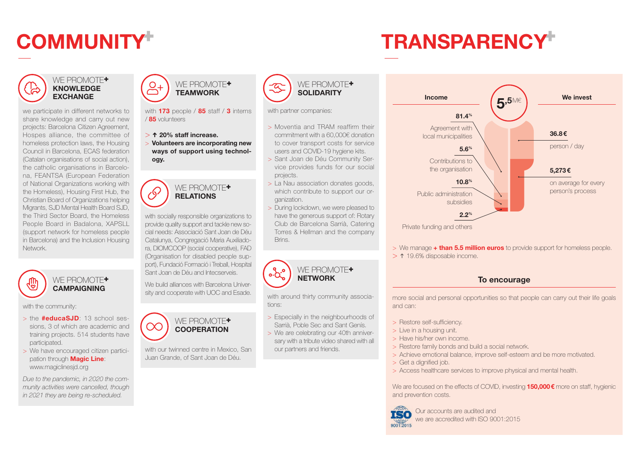# **COMMUNITY TRANSPARENCY**

### WE PROMOTE+ **KNOWLEDGE EXCHANGE**

we participate in different networks to share knowledge and carry out new projects: Barcelona Citizen Agreement, Hospes alliance, the committee of homeless protection laws, the Housing Council in Barcelona, ECAS federation (Catalan organisations of social action), the catholic organisations in Barcelona, FEANTSA (European Federation of National Organizations working with the Homeless), Housing First Hub, the Christian Board of Organizations helping Migrants, SJD Mental Health Board SJD, the Third Sector Board, the Homeless People Board in Badalona, XAPSLL (support network for homeless people in Barcelona) and the Inclusion Housing Network.



WE PROMOTE<sup>+</sup> **CAMPAIGNING** 

with the community:

- > the **#educaSJD**: 13 school sessions, 3 of which are academic and training projects. 514 students have participated.
- > We have encouraged citizen participation through **Magic Line**: www.magiclinesjd.org

*Due to the pandemic, in 2020 the community activities were cancelled, though in 2021 they are being re-scheduled.*



with **173** people / **85** staff / **3** interns / **85** volunteers

- > **↑ 20% staff increase.**
- > **Volunteers are incorporating new ways of support using technology.**

WE PROMOTE<sup>+</sup>

 $\mathcal{S}$ **RELATIONS** with socially responsible organizations to

provide quality support and tackle new social needs: Associació Sant Joan de Déu Catalunya, Congregació Maria Auxiliadora, DIOMCOOP (social cooperative), FAD (Organisation for disabled people support), Fundació Formació i Treball, Hospital Sant Joan de Déu and Intecserveis.

We build alliances with Barcelona University and cooperate with UOC and Esade.



with our twinned centre in Mexico, San Juan Grande, of Sant Joan de Déu.



with partner companies:

- > Moventia and TRAM reaffirm their commitment with a 60,000€ donation to cover transport costs for service users and COVID-19 hygiene kits.
- > Sant Joan de Déu Community Service provides funds for our social projects.
- > La Nau association donates goods, which contribute to support our organization.
- > During lockdown, we were pleased to have the generous support of: Rotary Club de Barcelona Sarrià, Catering Torres & Hellman and the company Brins.



with around thirty community associations:

- > Especially in the neighbourhoods of Sarrià, Poble Sec and Sant Genís.
- > We are celebrating our 40th anniversary with a tribute video shared with all our partners and friends.



- > We manage **+ than 5.5 million euros** to provide support for homeless people.
- > ↑ 19.6% disposable income.

### **To encourage**

more social and personal opportunities so that people can carry out their life goals and can:

- > Restore self-sufficiency.
- > Live in a housing unit.
- > Have his/her own income.
- > Restore family bonds and build a social network.
- > Achieve emotional balance, improve self-esteem and be more motivated.
- > Get a dignified job.
- > Access healthcare services to improve physical and mental health.

We are focused on the effects of COVID, investing **150,000€** more on staff, hygienic and prevention costs.



we are accredited with ISO 9001:2015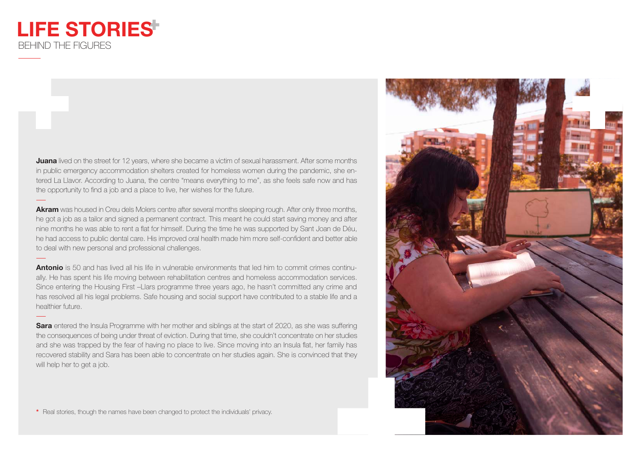## **LIFE STORIES** BEHIND THE FIGURES

**Juana** lived on the street for 12 years, where she became a victim of sexual harassment. After some months in public emergency accommodation shelters created for homeless women during the pandemic, she entered La Llavor. According to Juana, the centre "means everything to me", as she feels safe now and has the opportunity to find a job and a place to live, her wishes for the future.

**Akram** was housed in Creu dels Molers centre after several months sleeping rough. After only three months, he got a job as a tailor and signed a permanent contract. This meant he could start saving money and after nine months he was able to rent a flat for himself. During the time he was supported by Sant Joan de Déu, he had access to public dental care. His improved oral health made him more self-confident and better able to deal with new personal and professional challenges.

**Antonio** is 50 and has lived all his life in vulnerable environments that led him to commit crimes continually. He has spent his life moving between rehabilitation centres and homeless accommodation services. Since entering the Housing First –Llars programme three years ago, he hasn't committed any crime and has resolved all his legal problems. Safe housing and social support have contributed to a stable life and a healthier future.

**Sara** entered the Insula Programme with her mother and siblings at the start of 2020, as she was suffering the consequences of being under threat of eviction. During that time, she couldn't concentrate on her studies and she was trapped by the fear of having no place to live. Since moving into an Insula flat, her family has recovered stability and Sara has been able to concentrate on her studies again. She is convinced that they will help her to get a job.

**\*** Real stories, though the names have been changed to protect the individuals' privacy.